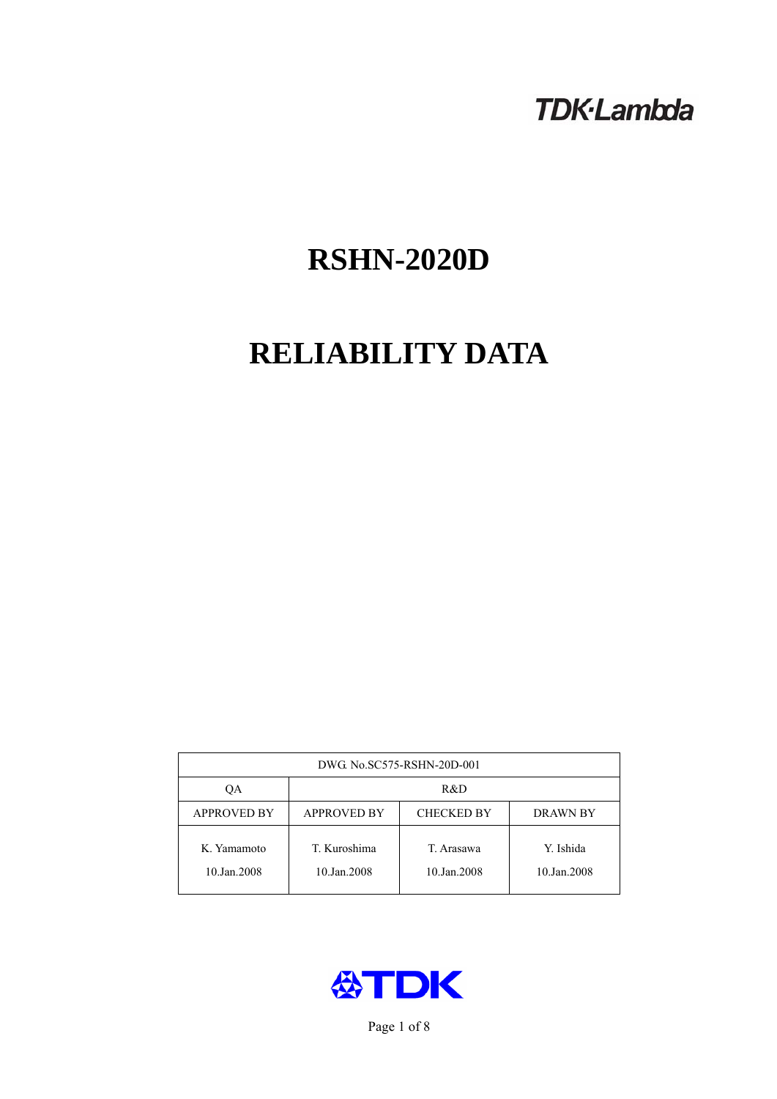# **TDK-Lambda**

# **RSHN-2020D**

# **RELIABILITY DATA**

| DWG. No.SC575-RSHN-20D-001 |                             |                           |                          |  |
|----------------------------|-----------------------------|---------------------------|--------------------------|--|
| ОA                         | R&D                         |                           |                          |  |
| <b>APPROVED BY</b>         | <b>APPROVED BY</b>          | <b>CHECKED BY</b>         | <b>DRAWN BY</b>          |  |
| K. Yamamoto<br>10.Jan.2008 | T. Kuroshima<br>10.Jan.2008 | T. Arasawa<br>10.Jan.2008 | Y. Ishida<br>10.Jan.2008 |  |



Page 1 of 8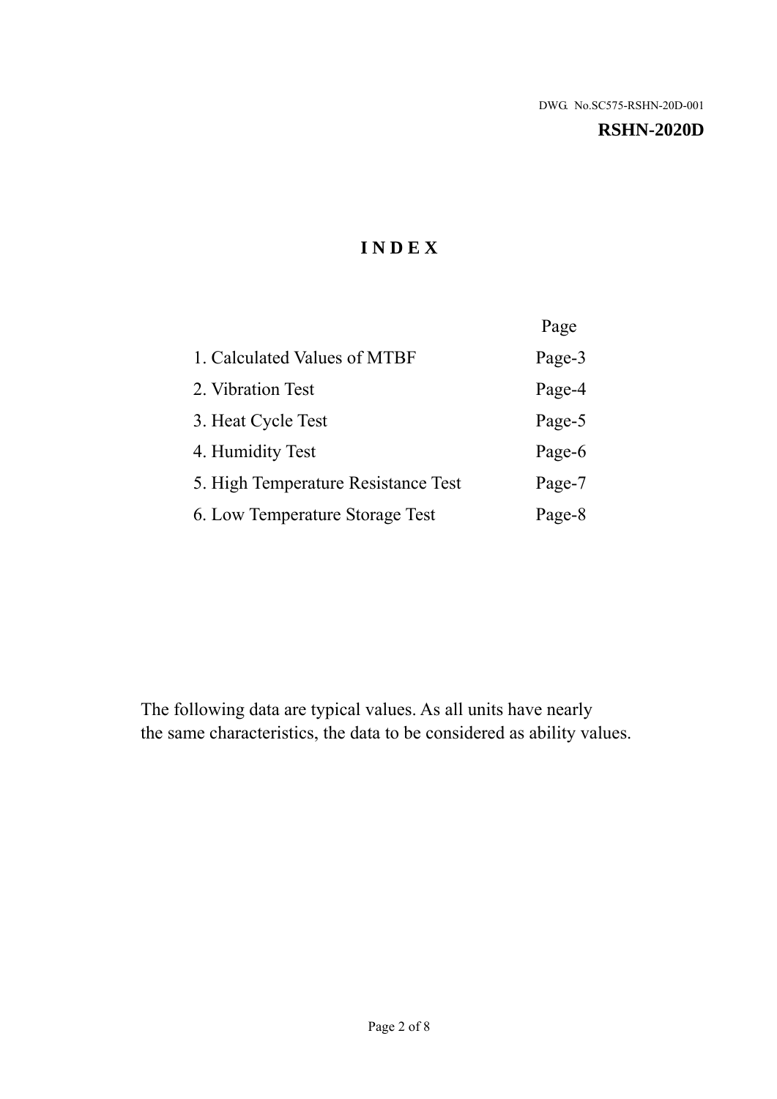#### **RSHN-2020D**

# **I N D E X**

|                                     | Page   |
|-------------------------------------|--------|
| 1. Calculated Values of MTBF        | Page-3 |
| 2. Vibration Test                   | Page-4 |
| 3. Heat Cycle Test                  | Page-5 |
| 4. Humidity Test                    | Page-6 |
| 5. High Temperature Resistance Test | Page-7 |
| 6. Low Temperature Storage Test     | Page-8 |

The following data are typical values. As all units have nearly the same characteristics, the data to be considered as ability values.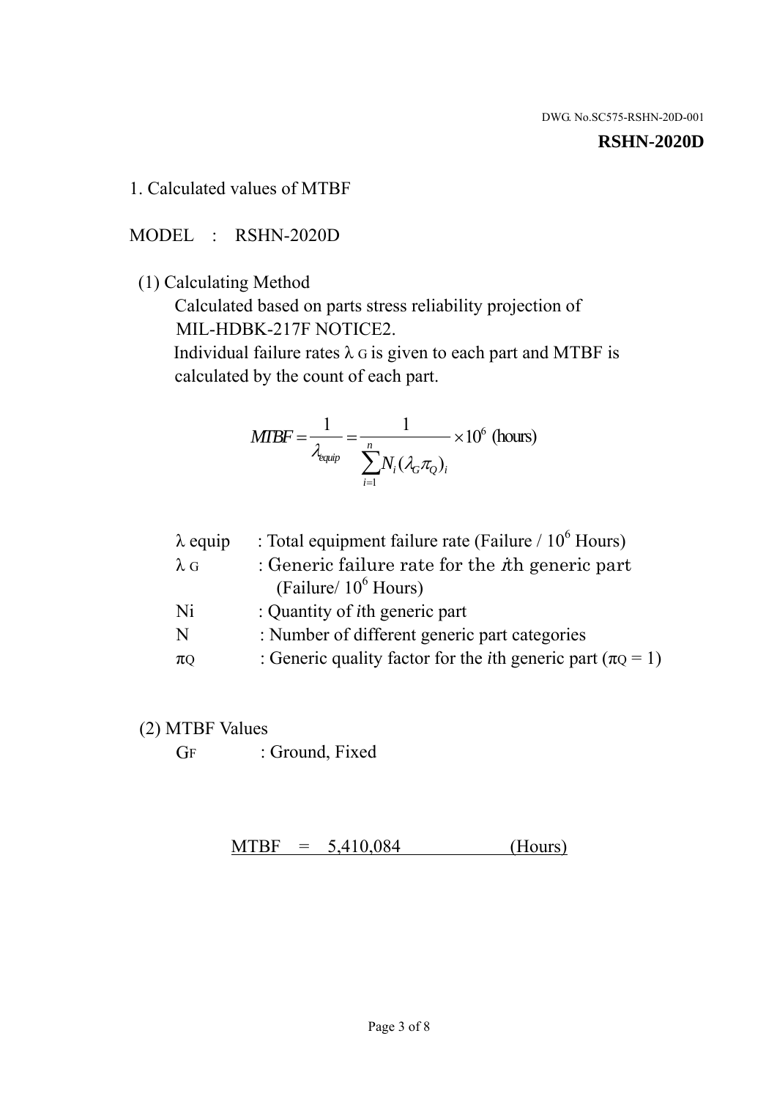#### **RSHN-2020D**

1. Calculated values of MTBF

MODEL : RSHN-2020D

(1) Calculating Method

 Calculated based on parts stress reliability projection of MIL-HDBK-217F NOTICE2.

Individual failure rates  $\lambda$  G is given to each part and MTBF is calculated by the count of each part.

$$
MTBF = \frac{1}{\lambda_{\text{equip}}} = \frac{1}{\sum_{i=1}^{n} N_i (\lambda_G \pi_Q)_i} \times 10^6 \text{ (hours)}
$$

| : Total equipment failure rate (Failure / $10^6$ Hours)                   |
|---------------------------------------------------------------------------|
| : Generic failure rate for the $\hbar$ generic part                       |
| (Failure/ $10^6$ Hours)                                                   |
| : Quantity of <i>i</i> th generic part                                    |
| : Number of different generic part categories                             |
| : Generic quality factor for the <i>i</i> th generic part ( $\pi Q = 1$ ) |
|                                                                           |

- (2) MTBF Values
	- GF : Ground, Fixed

 $MTBF = 5,410,084$  (Hours)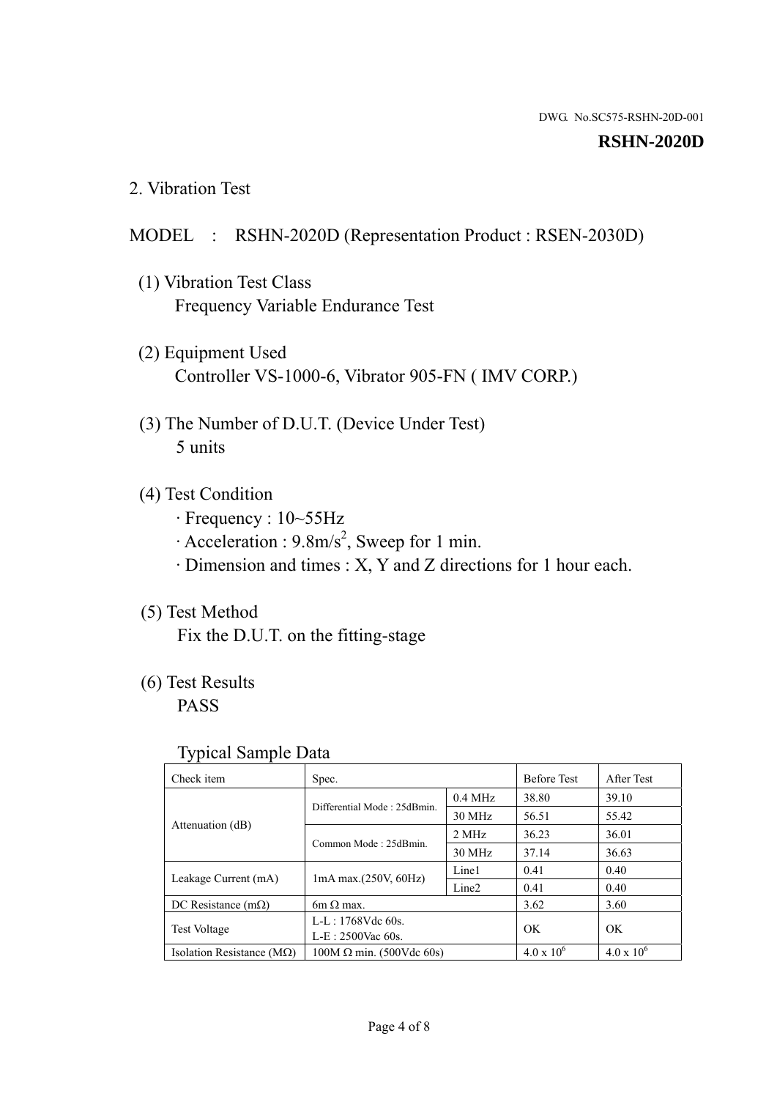#### **RSHN-2020D**

2. Vibration Test

# MODEL : RSHN-2020D (Representation Product : RSEN-2030D)

- (1) Vibration Test Class Frequency Variable Endurance Test
- (2) Equipment Used Controller VS-1000-6, Vibrator 905-FN ( IMV CORP.)
- (3) The Number of D.U.T. (Device Under Test) 5 units
- (4) Test Condition
	- · Frequency : 10~55Hz
	- $\cdot$  Acceleration : 9.8m/s<sup>2</sup>, Sweep for 1 min.
	- · Dimension and times : X, Y and Z directions for 1 hour each.

# (5) Test Method

Fix the D.U.T. on the fitting-stage

# (6) Test Results

PASS

#### Typical Sample Data

| Check item                         | Spec.                           |           | <b>Before Test</b>  | After Test        |
|------------------------------------|---------------------------------|-----------|---------------------|-------------------|
| Attenuation (dB)                   | Differential Mode: 25dBmin.     | $0.4$ MHz | 38.80               | 39.10             |
|                                    |                                 | 30 MHz    | 56.51               | 55.42             |
|                                    | Common Mode: 25dBmin.           | 2 MHz     | 36.23               | 36.01             |
|                                    |                                 | 30 MHz    | 37.14               | 36.63             |
| Leakage Current (mA)               | $1mA$ max. $(250V, 60Hz)$       | Line1     | 0.41                | 0.40              |
|                                    |                                 | Line2     | 0.41                | 0.40              |
| DC Resistance $(m\Omega)$          | $6m \Omega$ max.                |           | 3.62                | 3.60              |
| <b>Test Voltage</b>                | $L-L: 1768Vdc$ 60s.             |           |                     | OK                |
|                                    | $L-E: 2500$ Vac 60s.            |           | OK                  |                   |
| Isolation Resistance ( $M\Omega$ ) | $100M \Omega$ min. (500Vdc 60s) |           | $4.0 \times 10^{6}$ | $4.0 \times 10^6$ |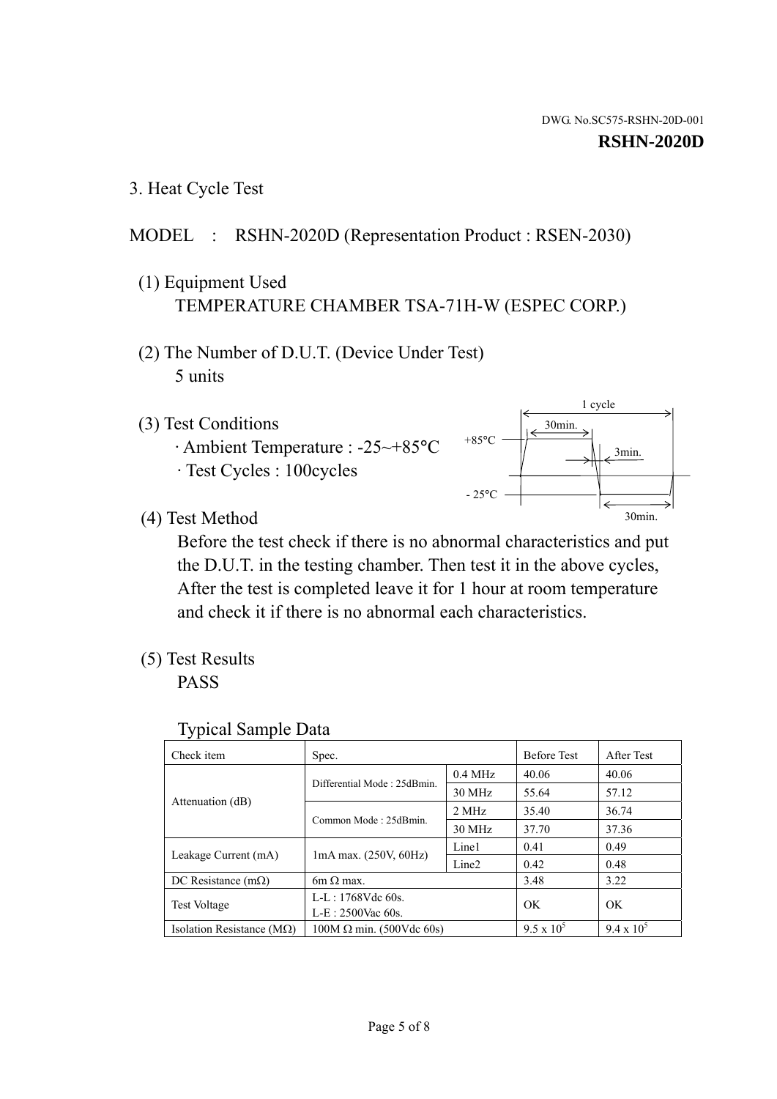1 cycle

30min.

3min.

30min.

3. Heat Cycle Test

# MODEL : RSHN-2020D (Representation Product : RSEN-2030)

- (1) Equipment Used TEMPERATURE CHAMBER TSA-71H-W (ESPEC CORP.)
- (2) The Number of D.U.T. (Device Under Test) 5 units
- (3) Test Conditions
	- · Ambient Temperature : -25~+85°C · Test Cycles : 100cycles
- (4) Test Method

 Before the test check if there is no abnormal characteristics and put the D.U.T. in the testing chamber. Then test it in the above cycles, After the test is completed leave it for 1 hour at room temperature and check it if there is no abnormal each characteristics.

 $+85$ °C

 $-25$ °C

(5) Test Results

PASS

| <b>Typical Sample Data</b> |  |
|----------------------------|--|
|                            |  |

| Check item                    | Spec.                           |                   | <b>Before Test</b> | After Test        |
|-------------------------------|---------------------------------|-------------------|--------------------|-------------------|
|                               | Differential Mode: 25dBmin.     | $0.4$ MHz         | 40.06              | 40.06             |
|                               |                                 | 30 MHz            | 55.64              | 57.12             |
| Attenuation (dB)              | Common Mode: 25dBmin.           | 2 MHz             | 35.40              | 36.74             |
|                               |                                 | 30 MHz            | 37.70              | 37.36             |
| Leakage Current (mA)          | 1mA max. (250V, 60Hz)           | Line1             | 0.41               | 0.49              |
|                               |                                 | Line <sub>2</sub> | 0.42               | 0.48              |
| DC Resistance $(m\Omega)$     | $6m \Omega$ max.                |                   | 3.48               | 3.22              |
| <b>Test Voltage</b>           | $L-L: 1768Vdc$ 60s.             |                   | OK                 | OK.               |
|                               | L-E: 2500Vac 60s.               |                   |                    |                   |
| Isolation Resistance ( $MQ$ ) | $100M \Omega$ min. (500Vdc 60s) |                   | $9.5 \times 10^5$  | $9.4 \times 10^5$ |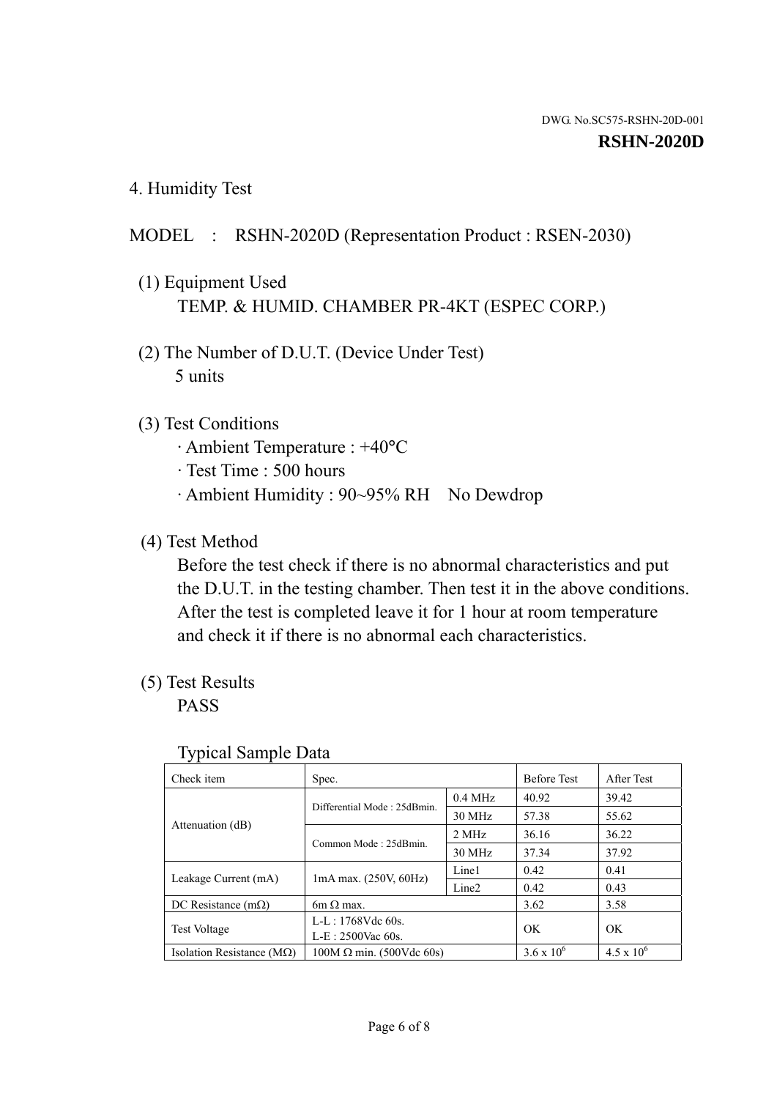4. Humidity Test

# MODEL : RSHN-2020D (Representation Product : RSEN-2030)

- (1) Equipment Used TEMP. & HUMID. CHAMBER PR-4KT (ESPEC CORP.)
- (2) The Number of D.U.T. (Device Under Test) 5 units

### (3) Test Conditions

- · Ambient Temperature : +40°C
- · Test Time : 500 hours
- · Ambient Humidity : 90~95% RH No Dewdrop

# (4) Test Method

 Before the test check if there is no abnormal characteristics and put the D.U.T. in the testing chamber. Then test it in the above conditions. After the test is completed leave it for 1 hour at room temperature and check it if there is no abnormal each characteristics.

### (5) Test Results

PASS

| ╯┸                            |                                 |                   |                     |                     |
|-------------------------------|---------------------------------|-------------------|---------------------|---------------------|
| Check item                    | Spec.                           |                   | <b>Before Test</b>  | After Test          |
| Attenuation (dB)              | Differential Mode: 25dBmin.     | $0.4$ MHz         | 40.92               | 39.42               |
|                               |                                 | 30 MHz            | 57.38               | 55.62               |
|                               | Common Mode: 25dBmin.           | 2 MHz             | 36.16               | 36.22               |
|                               |                                 | 30 MHz            | 37.34               | 37.92               |
| Leakage Current (mA)          | $1mA$ max. $(250V, 60Hz)$       | Line1             | 0.42                | 0.41                |
|                               |                                 | Line <sub>2</sub> | 0.42                | 0.43                |
| DC Resistance $(m\Omega)$     | $6m \Omega$ max.                |                   | 3.62                | 3.58                |
| <b>Test Voltage</b>           | L-L: 1768Vdc 60s.               |                   | OK                  | OK                  |
|                               | $L-E: 2500$ Vac 60s.            |                   |                     |                     |
| Isolation Resistance ( $MQ$ ) | $100M \Omega$ min. (500Vdc 60s) |                   | $3.6 \times 10^{6}$ | $4.5 \times 10^{6}$ |

#### Typical Sample Data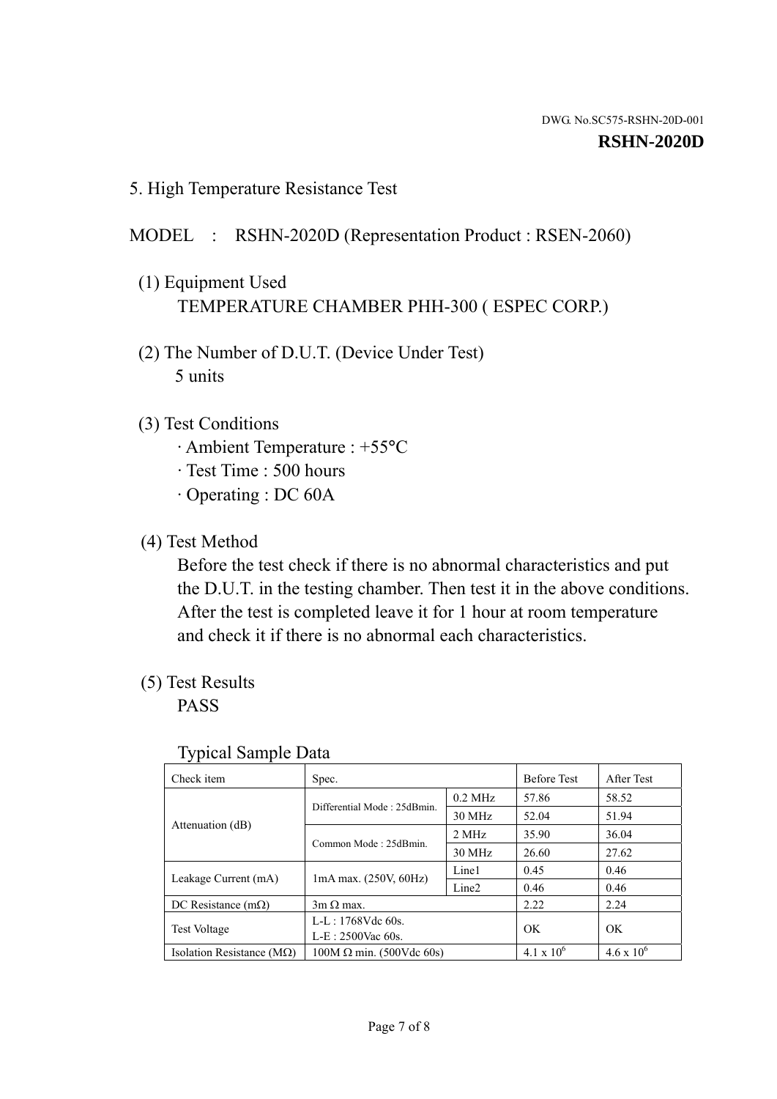5. High Temperature Resistance Test

# MODEL : RSHN-2020D (Representation Product : RSEN-2060)

- (1) Equipment Used TEMPERATURE CHAMBER PHH-300 ( ESPEC CORP.)
- (2) The Number of D.U.T. (Device Under Test) 5 units
- (3) Test Conditions
	- · Ambient Temperature : +55°C
	- · Test Time : 500 hours
	- · Operating : DC 60A
- (4) Test Method

 Before the test check if there is no abnormal characteristics and put the D.U.T. in the testing chamber. Then test it in the above conditions. After the test is completed leave it for 1 hour at room temperature and check it if there is no abnormal each characteristics.

(5) Test Results

PASS

| ╯┸                                 |                                 |                   |                     |                     |
|------------------------------------|---------------------------------|-------------------|---------------------|---------------------|
| Check item                         | Spec.                           |                   | <b>Before Test</b>  | After Test          |
| Attenuation (dB)                   |                                 | $0.2$ MHz         | 57.86               | 58.52               |
|                                    | Differential Mode: 25dBmin.     | 30 MHz            | 52.04               | 51.94               |
|                                    | Common Mode: 25dBmin.           | 2 MHz             | 35.90               | 36.04               |
|                                    |                                 | 30 MHz            | 26.60               | 27.62               |
| Leakage Current (mA)               | $1mA$ max. $(250V, 60Hz)$       | Line1             | 0.45                | 0.46                |
|                                    |                                 | Line <sub>2</sub> | 0.46                | 0.46                |
| DC Resistance $(m\Omega)$          | $3m \Omega$ max.                |                   | 2.22                | 2.24                |
| <b>Test Voltage</b>                | $L-L: 1768Vdc$ 60s.             |                   | OK                  | OK                  |
|                                    | $L-E: 2500$ Vac 60s.            |                   |                     |                     |
| Isolation Resistance ( $M\Omega$ ) | $100M \Omega$ min. (500Vdc 60s) |                   | $4.1 \times 10^{6}$ | $4.6 \times 10^{6}$ |

#### Typical Sample Data